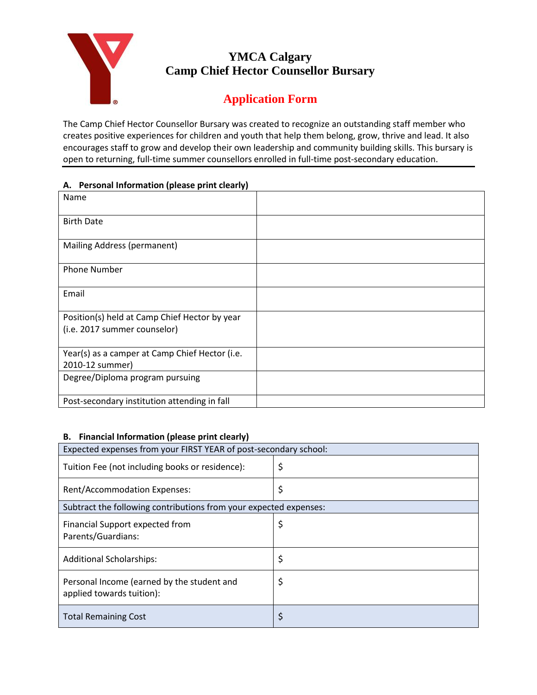

## **YMCA Calgary Camp Chief Hector Counsellor Bursary**

# **Application Form**

The Camp Chief Hector Counsellor Bursary was created to recognize an outstanding staff member who creates positive experiences for children and youth that help them belong, grow, thrive and lead. It also encourages staff to grow and develop their own leadership and community building skills. This bursary is open to returning, full-time summer counsellors enrolled in full-time post-secondary education.

#### **A. Personal Information (please print clearly)**

| Name                                           |  |
|------------------------------------------------|--|
|                                                |  |
| <b>Birth Date</b>                              |  |
|                                                |  |
| Mailing Address (permanent)                    |  |
| Phone Number                                   |  |
| Email                                          |  |
| Position(s) held at Camp Chief Hector by year  |  |
| (i.e. 2017 summer counselor)                   |  |
|                                                |  |
| Year(s) as a camper at Camp Chief Hector (i.e. |  |
| 2010-12 summer)                                |  |
| Degree/Diploma program pursuing                |  |
| Post-secondary institution attending in fall   |  |

#### **B. Financial Information (please print clearly)**

| Expected expenses from your FIRST YEAR of post-secondary school:        |    |  |
|-------------------------------------------------------------------------|----|--|
| Tuition Fee (not including books or residence):                         | \$ |  |
| <b>Rent/Accommodation Expenses:</b>                                     | \$ |  |
| Subtract the following contributions from your expected expenses:       |    |  |
| Financial Support expected from<br>Parents/Guardians:                   | \$ |  |
| <b>Additional Scholarships:</b>                                         | \$ |  |
| Personal Income (earned by the student and<br>applied towards tuition): | \$ |  |
| <b>Total Remaining Cost</b>                                             |    |  |